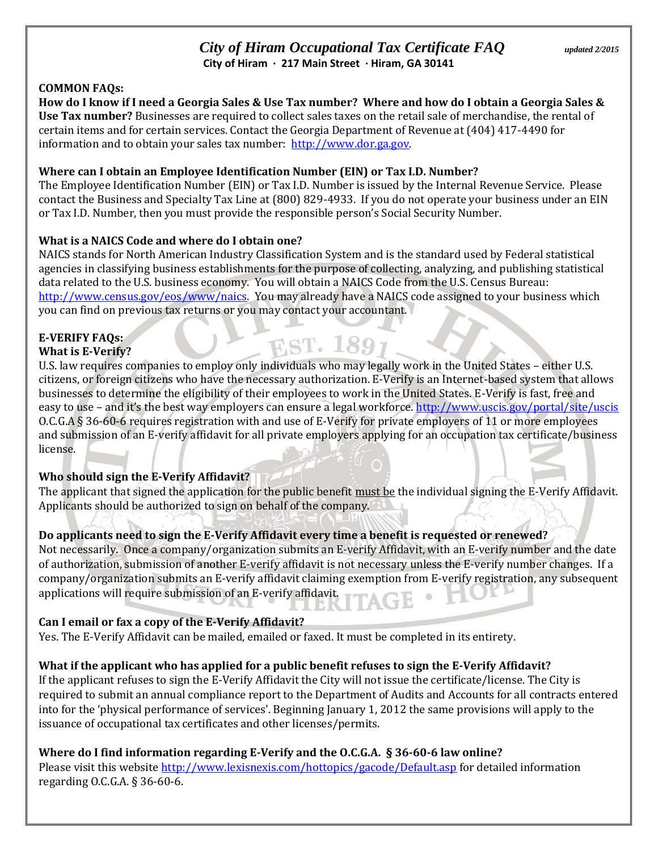# *City of Hiram Occupational Tax Certificate FAQ updated 2/2015* **City of Hiram ∙ 217 Main Street ∙ Hiram, GA 30141**

### **COMMON FAQs:**

**How do I know if I need a Georgia Sales & Use Tax number? Where and how do I obtain a Georgia Sales & Use Tax number?** Businesses are required to collect sales taxes on the retail sale of merchandise, the rental of certain items and for certain services. Contact the Georgia Department of Revenue at (404) 417-4490 for information and to obtain your sales tax number: [http://www.dor.ga.gov.](http://www.dor.ga.gov/)

#### **Where can I obtain an Employee Identification Number (EIN) or Tax I.D. Number?**

The Employee Identification Number (EIN) or Tax I.D. Number is issued by the Internal Revenue Service. Please contact the Business and Specialty Tax Line at (800) 829-4933. If you do not operate your business under an EIN or Tax I.D. Number, then you must provide the responsible person's Social Security Number.

### **What is a NAICS Code and where do I obtain one?**

NAICS stands for North American Industry Classification System and is the standard used by Federal statistical agencies in classifying business establishments for the purpose of collecting, analyzing, and publishing statistical data related to the U.S. business economy. You will obtain a NAICS Code from the U.S. Census Bureau: [http://www.census.gov/eos/www/naics.](http://www.census.gov/eos/www/naics) You may already have a NAICS code assigned to your business which you can find on previous tax returns or you may contact your accountant.

#### **E-VERIFY FAQs: What is E-Verify?**

U.S. law requires companies to employ only individuals who may legally work in the United States – either U.S. citizens, or foreign citizens who have the necessary authorization. E-Verify is an Internet-based system that allows businesses to determine the eligibility of their employees to work in the United States. E-Verify is fast, free and easy to use – and it's the best way employers can ensure a legal workforce. <http://www.uscis.gov/portal/site/uscis> O.C.G.A § 36-60-6 requires registration with and use of E-Verify for private employers of 11 or more employees and submission of an E-verify affidavit for all private employers applying for an occupation tax certificate/business license.

**EST. 1897** 

### **Who should sign the E-Verify Affidavit?**

The applicant that signed the application for the public benefit must be the individual signing the E-Verify Affidavit. Applicants should be authorized to sign on behalf of the company.

### **Do applicants need to sign the E-Verify Affidavit every time a benefit is requested or renewed?**

Not necessarily. Once a company/organization submits an E-verify Affidavit, with an E-verify number and the date of authorization, submission of another E-verify affidavit is not necessary unless the E-verify number changes. If a company/organization submits an E-verify affidavit claiming exemption from E-verify registration, any subsequent applications will require submission of an E-verify affidavit.

#### **Can I email or fax a copy of the E-Verify Affidavit?**

Yes. The E-Verify Affidavit can be mailed, emailed or faxed. It must be completed in its entirety.

### **What if the applicant who has applied for a public benefit refuses to sign the E-Verify Affidavit?**

If the applicant refuses to sign the E-Verify Affidavit the City will not issue the certificate/license. The City is required to submit an annual compliance report to the Department of Audits and Accounts for all contracts entered into for the 'physical performance of services'. Beginning January 1, 2012 the same provisions will apply to the issuance of occupational tax certificates and other licenses/permits.

#### **Where do I find information regarding E-Verify and the O.C.G.A. § 36-60-6 law online?**

Please visit this website<http://www.lexisnexis.com/hottopics/gacode/Default.asp> for detailed information regarding O.C.G.A. § 36-60-6.